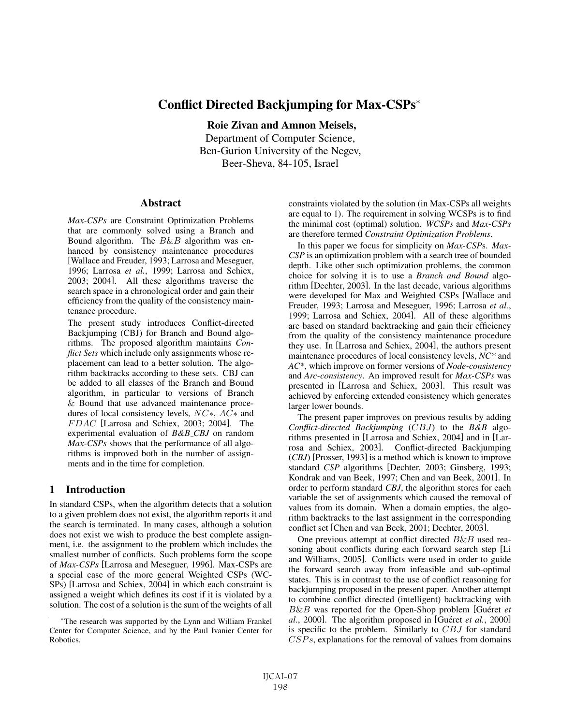# Conflict Directed Backjumping for Max-CSPs<sup>∗</sup>

Roie Zivan and Amnon Meisels, Department of Computer Science, Ben-Gurion University of the Negev, Beer-Sheva, 84-105, Israel

### Abstract

*Max-CSPs* are Constraint Optimization Problems that are commonly solved using a Branch and Bound algorithm. The  $B\&B$  algorithm was enhanced by consistency maintenance procedures [Wallace and Freuder, 1993; Larrosa and Meseguer, 1996; Larrosa *et al.*, 1999; Larrosa and Schiex, 2003; 2004]. All these algorithms traverse the search space in a chronological order and gain their efficiency from the quality of the consistency maintenance procedure.

The present study introduces Conflict-directed Backjumping (CBJ) for Branch and Bound algorithms. The proposed algorithm maintains *Conflict Sets* which include only assignments whose replacement can lead to a better solution. The algorithm backtracks according to these sets. CBJ can be added to all classes of the Branch and Bound algorithm, in particular to versions of Branch & Bound that use advanced maintenance procedures of local consistency levels, NC∗, AC∗ and FDAC [Larrosa and Schiex, 2003; 2004]. The experimental evaluation of *B&B CBJ* on random *Max-CSPs* shows that the performance of all algorithms is improved both in the number of assignments and in the time for completion.

# 1 Introduction

In standard CSPs, when the algorithm detects that a solution to a given problem does not exist, the algorithm reports it and the search is terminated. In many cases, although a solution does not exist we wish to produce the best complete assignment, i.e. the assignment to the problem which includes the smallest number of conflicts. Such problems form the scope of *Max-CSPs* [Larrosa and Meseguer, 1996]. Max-CSPs are a special case of the more general Weighted CSPs (WC-SPs) [Larrosa and Schiex, 2004] in which each constraint is assigned a weight which defines its cost if it is violated by a solution. The cost of a solution is the sum of the weights of all constraints violated by the solution (in Max-CSPs all weights are equal to 1). The requirement in solving WCSPs is to find the minimal cost (optimal) solution. *WCSPs* and *Max-CSPs* are therefore termed *Constraint Optimization Problems*.

In this paper we focus for simplicity on *Max-CSP*s. *Max-CSP* is an optimization problem with a search tree of bounded depth. Like other such optimization problems, the common choice for solving it is to use a *Branch and Bound* algorithm [Dechter, 2003]. In the last decade, various algorithms were developed for Max and Weighted CSPs [Wallace and Freuder, 1993; Larrosa and Meseguer, 1996; Larrosa *et al.*, 1999; Larrosa and Schiex, 2004]. All of these algorithms are based on standard backtracking and gain their efficiency from the quality of the consistency maintenance procedure they use. In [Larrosa and Schiex, 2004], the authors present maintenance procedures of local consistency levels, *NC\** and *AC\**, which improve on former versions of *Node-consistency* and *Arc-consistency*. An improved result for *Max-CSPs* was presented in [Larrosa and Schiex, 2003]. This result was achieved by enforcing extended consistency which generates larger lower bounds.

The present paper improves on previous results by adding *Conflict-directed Backjumping* (CBJ) to the *B&B* algorithms presented in [Larrosa and Schiex, 2004] and in [Larrosa and Schiex, 2003]. Conflict-directed Backjumping (*CBJ*) [Prosser, 1993] is a method which is known to improve standard *CSP* algorithms [Dechter, 2003; Ginsberg, 1993; Kondrak and van Beek, 1997; Chen and van Beek, 2001]. In order to perform standard *CBJ*, the algorithm stores for each variable the set of assignments which caused the removal of values from its domain. When a domain empties, the algorithm backtracks to the last assignment in the corresponding conflict set [Chen and van Beek, 2001; Dechter, 2003].

One previous attempt at conflict directed  $B\&B$  used reasoning about conflicts during each forward search step [Li and Williams, 2005]. Conflicts were used in order to guide the forward search away from infeasible and sub-optimal states. This is in contrast to the use of conflict reasoning for backjumping proposed in the present paper. Another attempt to combine conflict directed (intelligent) backtracking with  $B\&B$  was reported for the Open-Shop problem [Guéret  $et$ *al.*, 2000]. The algorithm proposed in [Guéret et al., 2000] is specific to the problem. Similarly to  $CBJ$  for standard  $CSPs$ , explanations for the removal of values from domains

<sup>∗</sup>The research was supported by the Lynn and William Frankel Center for Computer Science, and by the Paul Ivanier Center for Robotics.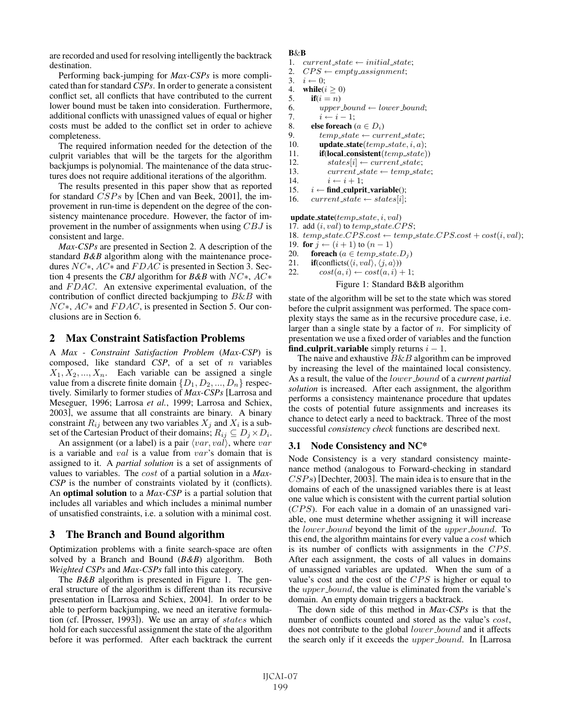are recorded and used for resolving intelligently the backtrack destination.

Performing back-jumping for *Max-CSPs* is more complicated than for standard *CSPs*. In order to generate a consistent conflict set, all conflicts that have contributed to the current lower bound must be taken into consideration. Furthermore, additional conflicts with unassigned values of equal or higher costs must be added to the conflict set in order to achieve completeness.

The required information needed for the detection of the culprit variables that will be the targets for the algorithm backjumps is polynomial. The maintenance of the data structures does not require additional iterations of the algorithm.

The results presented in this paper show that as reported for standard CSPs by [Chen and van Beek, 2001], the improvement in run-time is dependent on the degree of the consistency maintenance procedure. However, the factor of improvement in the number of assignments when using CBJ is consistent and large.

*Max-CSPs* are presented in Section 2. A description of the standard *B&B* algorithm along with the maintenance procedures NC∗, AC∗ and F DAC is presented in Section 3. Section 4 presents the *CBJ* algorithm for *B&B* with NC∗, AC∗ and  $FDAC$ . An extensive experimental evaluation, of the contribution of conflict directed backjumping to  $B\&B$  with  $NC<sub>*</sub>, AC<sub>*</sub>$  and  $FDAC$ , is presented in Section 5. Our conclusions are in Section 6.

### 2 Max Constraint Satisfaction Problems

A *Max - Constraint Satisfaction Problem* (*Max-CSP*) is composed, like standard *CSP*, of a set of n variables  $X_1, X_2, ..., X_n$ . Each variable can be assigned a single value from a discrete finite domain  $\{D_1, D_2, ..., D_n\}$  respectively. Similarly to former studies of *Max-CSPs* [Larrosa and Meseguer, 1996; Larrosa *et al.*, 1999; Larrosa and Schiex, 2003], we assume that all constraints are binary. A binary constraint  $R_{ij}$  between any two variables  $X_j$  and  $X_i$  is a subset of the Cartesian Product of their domains;  $R_{ij} \subseteq D_j \times D_i$ .

An assignment (or a label) is a pair  $\langle var, val \rangle$ , where  $var$ is a variable and val is a value from var's domain that is assigned to it. A *partial solution* is a set of assignments of values to variables. The cost of a partial solution in a *Max-CSP* is the number of constraints violated by it (conflicts). An optimal solution to a *Max-CSP* is a partial solution that includes all variables and which includes a minimal number of unsatisfied constraints, i.e. a solution with a minimal cost.

# 3 The Branch and Bound algorithm

Optimization problems with a finite search-space are often solved by a Branch and Bound (*B&B*) algorithm. Both *Weighted CSPs* and *Max-CSPs* fall into this category.

The *B&B* algorithm is presented in Figure 1. The general structure of the algorithm is different than its recursive presentation in [Larrosa and Schiex, 2004]. In order to be able to perform backjumping, we need an iterative formulation (cf. [Prosser, 1993]). We use an array of states which hold for each successful assignment the state of the algorithm before it was performed. After each backtrack the current

#### B&B

- 1. current\_state  $\leftarrow$  initial\_state;<br>2.  $CPS \leftarrow \text{emptu}$ \_assignment;
- 2.  $CPS \leftarrow empty\_assignment;$ <br>3.  $i \leftarrow 0;$
- 3.  $i \leftarrow 0;$ <br>4 while(*i*
- 4. while( $i \ge 0$ )<br>5. if( $i = n$ )
- $if(i = n)$
- 6. upper\_bound  $\leftarrow$  lower\_bound;<br>7.  $i \leftarrow i 1$ ;
- 7.  $i \leftarrow i 1;$ <br>8. **else foreach** (
- 8. **else foreach**  $(a \in D_i)$ <br>9. *temp state*  $\leftarrow cur$
- 9.  $temp\_state \leftarrow current\_state;$ <br>10.  $update\_state(temp\_state, i, a);$ 
	- update\_state( $temp\_state, i, a$ );
- 11. **if(local\_consistent**(temp\_state))
- 12. states[i] ← current\_state;<br>13. current\_state ← temp\_sta
- 13. current\_state ← temp\_state;<br>14.  $i \leftarrow i+1$ ;
- 14.  $i \leftarrow i + 1;$ <br>15.  $i \leftarrow \text{find\_culpri}$
- 15.  $i \leftarrow \text{find\_culprit\_variable}();$ <br>16. *current state*  $\leftarrow$  *states[i]*:
- $current\_state \leftarrow states[i];$

update\_state( $temp\_state$ ,  $i$ ,  $val$ )

- 17. add  $(i, val)$  to  $temp\_state.CPS;$
- 18.  $temp\_state.CPS-cost \leftarrow temp\_state.CPS-cost + cost(i, val);$
- 19. for  $j \leftarrow (i + 1)$  to  $(n 1)$ <br>20. foreach  $(a \in temp\_stat$
- 20. **foreach**  $(a \in temp\_state.D_j)$ <br>21. **if**(conflicts( $\langle i, val \rangle, \langle j, a \rangle$ ))
- 21. **if**(conflicts( $\langle i, val \rangle$ ,  $\langle j, a \rangle$ ))<br>22.  $cost(a, i) \leftarrow cost(a, i) +$
- $cost(a, i) \leftarrow cost(a, i) + 1;$

### Figure 1: Standard B&B algorithm

state of the algorithm will be set to the state which was stored before the culprit assignment was performed. The space complexity stays the same as in the recursive procedure case, i.e. larger than a single state by a factor of  $n$ . For simplicity of presentation we use a fixed order of variables and the function find culprit variable simply returns  $i - 1$ .

The naive and exhaustive  $B\&B$  algorithm can be improved by increasing the level of the maintained local consistency. As a result, the value of the *lower*-bound of a *current partial solution* is increased. After each assignment, the algorithm performs a consistency maintenance procedure that updates the costs of potential future assignments and increases its chance to detect early a need to backtrack. Three of the most successful *consistency check* functions are described next.

### 3.1 Node Consistency and NC\*

Node Consistency is a very standard consistency maintenance method (analogous to Forward-checking in standard  $CSPs$ ) [Dechter, 2003]. The main idea is to ensure that in the domains of each of the unassigned variables there is at least one value which is consistent with the current partial solution (CPS). For each value in a domain of an unassigned variable, one must determine whether assigning it will increase the *lower*-bound beyond the limit of the *upper*-bound. To this end, the algorithm maintains for every value a cost which is its number of conflicts with assignments in the CPS. After each assignment, the costs of all values in domains of unassigned variables are updated. When the sum of a value's cost and the cost of the CPS is higher or equal to the *upper bound*, the value is eliminated from the variable's domain. An empty domain triggers a backtrack.

The down side of this method in *Max-CSPs* is that the number of conflicts counted and stored as the value's *cost*, does not contribute to the global *lower\_bound* and it affects the search only if it exceeds the *upper bound*. In [Larrosa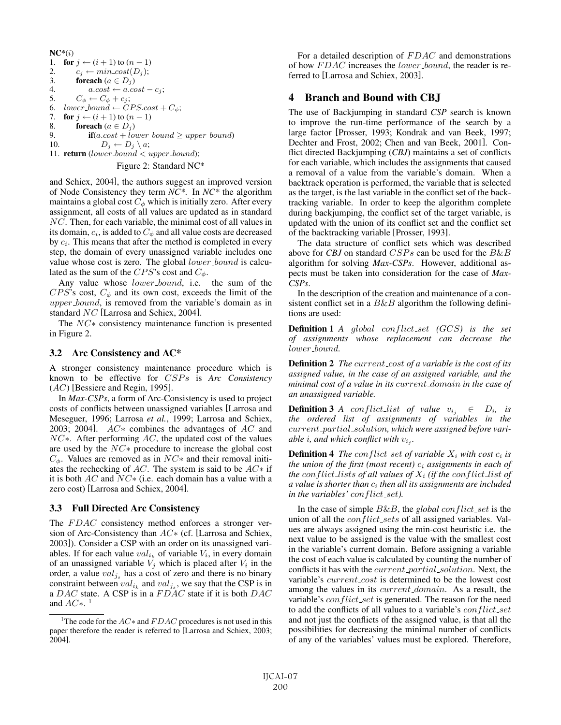$NC^*(i)$ 1. for  $j \leftarrow (i + 1)$  to  $(n - 1)$ <br>2.  $c_i \leftarrow min\_cost(D_i)$ : 2.  $c_j \leftarrow min\_cost(D_j);$ <br>
3. **foreach**  $(a \in D_j)$ 3. **foreach**  $(a \in D_j)$ <br>4 **a**  $cos t \leftarrow a$  co 4.  $a.\text{cost} \leftarrow a.\text{cost} - c_j;$ <br>5.  $C_A \leftarrow C_A + c_i;$ 5.  $C_{\phi} \leftarrow C_{\phi} + c_j;$ <br>6.  $lower-bound \leftarrow C$ 6. lower\_bound  $\leftarrow CPS-cost + C_{\phi};$ <br>7. **for**  $i \leftarrow (i + 1)$  to  $(n - 1)$ 7. for  $j \leftarrow (i + 1)$  to  $(n - 1)$ <br>8. foreach  $(a \in D_i)$ 8. **foreach**  $(a \in D_j)$ <br>9. **if**  $(a \cos t + \ln n)$ 9. **if**( $a.cost + lower-bound \ge upper-bound$ )<br>10.  $D_i \leftarrow D_i \setminus a$ ;  $D_i \leftarrow D_i \setminus a;$ 11. **return** (lower\_bound  $\lt$  upper\_bound); Figure 2: Standard NC\*

and Schiex, 2004], the authors suggest an improved version of Node Consistency they term *NC\**. In *NC\** the algorithm maintains a global cost  $C_{\phi}$  which is initially zero. After every assignment, all costs of all values are updated as in standard NC. Then, for each variable, the minimal cost of all values in its domain,  $c_i$ , is added to  $C_\phi$  and all value costs are decreased by  $c_i$ . This means that after the method is completed in every step, the domain of every unassigned variable includes one value whose cost is zero. The global lower\_bound is calculated as the sum of the CPS's cost and  $C_{\phi}$ .

Any value whose lower\_bound, i.e. the sum of the  $CPS$ 's cost,  $C_{\phi}$  and its own cost, exceeds the limit of the upper\_bound, is removed from the variable's domain as in standard NC [Larrosa and Schiex, 2004].

The NC∗ consistency maintenance function is presented in Figure 2.

# 3.2 Arc Consistency and AC\*

A stronger consistency maintenance procedure which is known to be effective for CSPs is *Arc Consistency* (AC) [Bessiere and Regin, 1995].

In *Max-CSPs*, a form of Arc-Consistency is used to project costs of conflicts between unassigned variables [Larrosa and Meseguer, 1996; Larrosa *et al.*, 1999; Larrosa and Schiex, 2003; 2004].  $AC*$  combines the advantages of AC and  $NC*$ . After performing  $AC$ , the updated cost of the values are used by the NC∗ procedure to increase the global cost  $C_{\phi}$ . Values are removed as in  $NC*$  and their removal initiates the rechecking of  $AC$ . The system is said to be  $AC*$  if it is both  $AC$  and  $NC*$  (i.e. each domain has a value with a zero cost) [Larrosa and Schiex, 2004].

# 3.3 Full Directed Arc Consistency

The FDAC consistency method enforces a stronger version of Arc-Consistency than  $AC*$  (cf. [Larrosa and Schiex, 2003]). Consider a CSP with an order on its unassigned variables. If for each value  $val_{i_k}$  of variable  $V_i$ , in every domain of an unassigned variable  $V_j$  which is placed after  $V_i$  in the order, a value  $val_{j_s}$  has a cost of zero and there is no binary constraint between  $val_{i_k}$  and  $val_{j_s}$ , we say that the CSP is in a  $DAC$  state. A CSP is in a  $FDAC$  state if it is both  $DAC$ and  $AC*$ .<sup>1</sup>

For a detailed description of  $FDAC$  and demonstrations of how FDAC increases the lower bound, the reader is referred to [Larrosa and Schiex, 2003].

# 4 Branch and Bound with CBJ

The use of Backjumping in standard *CSP* search is known to improve the run-time performance of the search by a large factor [Prosser, 1993; Kondrak and van Beek, 1997; Dechter and Frost, 2002; Chen and van Beek, 2001]. Conflict directed Backjumping (*CBJ*) maintains a set of conflicts for each variable, which includes the assignments that caused a removal of a value from the variable's domain. When a backtrack operation is performed, the variable that is selected as the target, is the last variable in the conflict set of the backtracking variable. In order to keep the algorithm complete during backjumping, the conflict set of the target variable, is updated with the union of its conflict set and the conflict set of the backtracking variable [Prosser, 1993].

The data structure of conflict sets which was described above for *CBJ* on standard CSPs can be used for the B&B algorithm for solving *Max-CSPs*. However, additional aspects must be taken into consideration for the case of *Max-CSPs*.

In the description of the creation and maintenance of a consistent conflict set in a  $B\&B$  algorithm the following definitions are used:

Definition 1 *A* global conflict set *(*GCS*) is the set of assignments whose replacement can decrease the* lower bound*.*

**Definition 2** *The current\_cost of a variable is the cost of its assigned value, in the case of an assigned variable, and the minimal cost of a value in its* current domain *in the case of an unassigned variable.*

**Definition 3** *A* conflict list of value  $v_{i_j} \in D_i$ , is *the ordered list of assignments of variables in the* current partial solution*, which were assigned before variable i*, and which conflict with  $v_i$ .

**Definition 4** *The conflict\_set of variable*  $X_i$  *with cost*  $c_i$  *is the union of the first (most recent)*  $c_i$  *assignments in each of the conflict lists of all values of*  $X_i$  *(if the conflict list of a value is shorter than* c<sup>i</sup> *then all its assignments are included in the variables' conflict\_set*).

In the case of simple  $B\&B$ , the *global* conflict set is the union of all the  $conflict\_sets$  of all assigned variables. Values are always assigned using the min-cost heuristic i.e. the next value to be assigned is the value with the smallest cost in the variable's current domain. Before assigning a variable the cost of each value is calculated by counting the number of conflicts it has with the *current\_partial\_solution*. Next, the variable's *current\_cost* is determined to be the lowest cost among the values in its *current\_domain*. As a result, the variable's *conflict\_set* is generated. The reason for the need to add the conflicts of all values to a variable's  $conflict_set$ and not just the conflicts of the assigned value, is that all the possibilities for decreasing the minimal number of conflicts of any of the variables' values must be explored. Therefore,

<sup>&</sup>lt;sup>1</sup>The code for the  $AC*$  and  $FDAC$  procedures is not used in this paper therefore the reader is referred to [Larrosa and Schiex, 2003; 2004].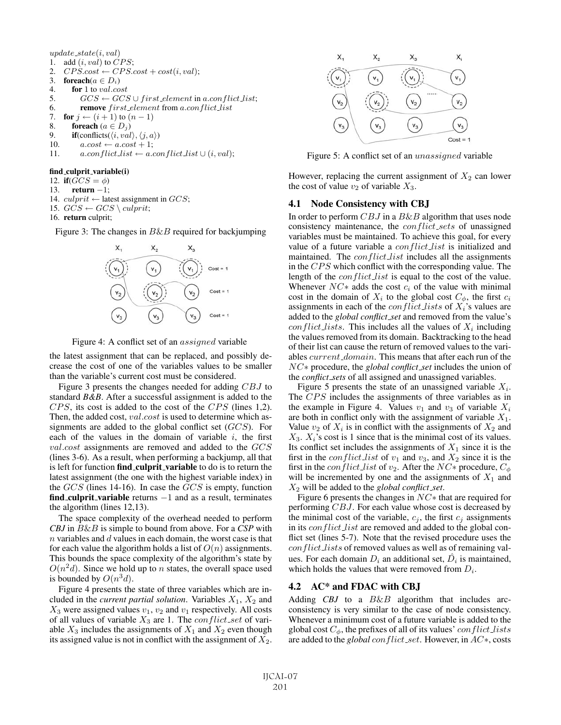$update\_state(i, val)$ 1. add  $(i, val)$  to  $CPS$ ; 2.  $CPS.cost \leftarrow CPS.cost + cost(i, val);$ <br>
3. **foreach** $(a \in D_i)$ 3. **foreach** $(a \in D_i)$ <br>4. **for** 1 to *val.co* for 1 to val.cost 5.  $GCS \leftarrow GCS \cup first-element \text{ in } a.config.$ <br>6. **remove** first element from a.con flict list 6. remove first element from a.conflict list<br>7. for  $j \leftarrow (i+1)$  to  $(n-1)$ 7. for  $j \leftarrow (i + 1)$  to  $(n - 1)$ <br>8. foreach  $(a \in D_i)$ 8. **foreach**  $(a \in D_j)$ <br>9. **if**(conflicts( $\langle i, val \rangle$ 9. **if**(conflicts( $\langle i, val \rangle$ ,  $\langle j, a \rangle$ )<br>10.  $a.cost \leftarrow a.cost + 1$ ; 10.  $a.cost \leftarrow a.cost + 1;$ <br>11.  $a.conflict_list \leftarrow a.$  $a.configlict_list \leftarrow a.configlict_list \cup (i,val);$ 

#### find culprit variable(i)

- 12. if( $GCS = \phi$ )
- 13. return −1;
- 14.  $\textit{culprit} \leftarrow$  latest assignment in  $GCS$ ;
- 15.  $GCS \leftarrow GCS \setminus \text{culprit};$
- 16. return culprit;

Figure 3: The changes in  $B\&B$  required for backjumping





the latest assignment that can be replaced, and possibly decrease the cost of one of the variables values to be smaller than the variable's current cost must be considered.

Figure 3 presents the changes needed for adding CBJ to standard *B&B*. After a successful assignment is added to the CPS, its cost is added to the cost of the CPS (lines 1,2). Then, the added cost, val.cost is used to determine which assignments are added to the global conflict set (GCS). For each of the values in the domain of variable  $i$ , the first val.cost assignments are removed and added to the GCS (lines 3-6). As a result, when performing a backjump, all that is left for function find\_culprit\_variable to do is to return the latest assignment (the one with the highest variable index) in the GCS (lines 14-16). In case the GCS is empty, function find culprit variable returns  $-1$  and as a result, terminates the algorithm (lines 12,13).

The space complexity of the overhead needed to perform *CBJ* in B&B is simple to bound from above. For a *CSP* with  $n$  variables and  $d$  values in each domain, the worst case is that for each value the algorithm holds a list of  $O(n)$  assignments. This bounds the space complexity of the algorithm's state by  $O(n^2d)$ . Since we hold up to *n* states, the overall space used is bounded by  $O(n^3d)$ .

Figure 4 presents the state of three variables which are included in the *current partial solution*. Variables  $X_1$ ,  $X_2$  and  $X_3$  were assigned values  $v_1$ ,  $v_2$  and  $v_1$  respectively. All costs of all values of variable  $X_3$  are 1. The *conflict set* of variable  $X_3$  includes the assignments of  $X_1$  and  $X_2$  even though its assigned value is not in conflict with the assignment of  $X_2$ .



Figure 5: A conflict set of an unassigned variable

However, replacing the current assignment of  $X_2$  can lower the cost of value  $v_2$  of variable  $X_3$ .

#### 4.1 Node Consistency with CBJ

In order to perform  $CBJ$  in a  $B\&B$  algorithm that uses node consistency maintenance, the *conflict\_sets* of unassigned variables must be maintained. To achieve this goal, for every value of a future variable a *conflict list* is initialized and maintained. The *conflict list* includes all the assignments in the CPS which conflict with the corresponding value. The length of the *conflict list* is equal to the cost of the value. Whenever  $NC*$  adds the cost  $c_i$  of the value with minimal cost in the domain of  $X_i$  to the global cost  $C_\phi$ , the first  $c_i$ assignments in each of the *conflict lists* of  $X_i$ 's values are added to the *global conflict set* and removed from the value's conflict lists. This includes all the values of  $X_i$  including the values removed from its domain. Backtracking to the head of their list can cause the return of removed values to the variables *current\_domain*. This means that after each run of the NC∗ procedure, the *global conflict set* includes the union of the *conflict sets* of all assigned and unassigned variables.

Figure 5 presents the state of an unassigned variable  $X_i$ . The CPS includes the assignments of three variables as in the example in Figure 4. Values  $v_1$  and  $v_3$  of variable  $X_i$ are both in conflict only with the assignment of variable  $X_1$ . Value  $v_2$  of  $X_i$  is in conflict with the assignments of  $X_2$  and  $X_3$ .  $X_i$ 's cost is 1 since that is the minimal cost of its values. Its conflict set includes the assignments of  $X_1$  since it is the first in the *conflict list* of  $v_1$  and  $v_3$ , and  $X_2$  since it is the first in the *conflict list* of  $v_2$ . After the  $NC*$  procedure,  $C_{\phi}$ will be incremented by one and the assignments of  $X_1$  and X<sup>2</sup> will be added to the *global conflict set*.

Figure 6 presents the changes in NC∗ that are required for performing CBJ. For each value whose cost is decreased by the minimal cost of the variable,  $c_j$ , the first  $c_j$  assignments in its *conflict list* are removed and added to the global conflict set (lines 5-7). Note that the revised procedure uses the conflict lists of removed values as well as of remaining values. For each domain  $D_i$  an additional set,  $D_i$  is maintained, which holds the values that were removed from  $D_i$ .

# 4.2 AC\* and FDAC with CBJ

Adding *CBJ* to a  $B\&B$  algorithm that includes arcconsistency is very similar to the case of node consistency. Whenever a minimum cost of a future variable is added to the global cost  $C_{\phi}$ , the prefixes of all of its values' conflict lists are added to the *global* conflict set. However, in AC∗, costs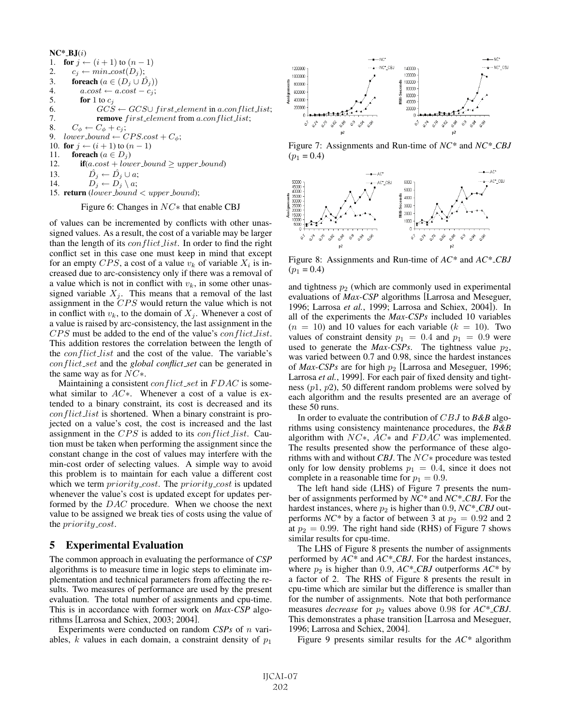$NC^*$ \_B.J $(i)$ 1. for  $j \leftarrow (i+1)$  to  $(n-1)$ <br>2.  $c_j \leftarrow min\_cost(D_j);$ 2.  $c_j \leftarrow min\_cost(D_j);$ <br>
3. **foreach**  $(a \in (D_i \cup \hat{D}))$ 3. **foreach**  $(a \in (D_j \cup D_j))$ <br>4.  $a.cost \leftarrow a.cost - c_j;$ 4.  $a.cost \leftarrow a.cost - c_j;$ <br>5. **for** 1 to  $c_j$ 5. for 1 to  $c_j$ <br>6. GCS 6.  $GCS \leftarrow GCS \cup first\text{.element in } a.\text{conflict}\text{.list};$ <br>7. **remove** first element from a.con flict list: remove  $first$ -element from a.con $flict$ -list; 8.  $C_{\phi} \leftarrow C_{\phi} + c_j;$ <br>9.  $lower_bound \leftarrow C$  $lower_bound \leftarrow CPS-cost + C_{\phi};$ 10. for  $j \leftarrow (i + 1)$  to  $(n - 1)$ <br>11. foreach  $(a \in D_i)$ 11. **foreach**  $(a \in D_j)$ <br>12. **if** $(a \cdot \cos t + low)$ 12. **if**(a.cost + lower\_bound  $\geq$  upper\_bound)<br>13.  $\hat{D}_i \leftarrow \hat{D}_i \cup a$ . 13.  $\overrightarrow{D}_j \leftarrow \overrightarrow{D}_j \cup a;$ <br>14.  $\overrightarrow{D}_i \leftarrow \overrightarrow{D}_i \setminus a;$  $D_j \leftarrow D_j \setminus a;$ 15. return (lower\_bound  $\langle$  upper\_bound);

#### Figure 6: Changes in NC∗ that enable CBJ

of values can be incremented by conflicts with other unassigned values. As a result, the cost of a variable may be larger than the length of its  $conflict_list$ . In order to find the right conflict set in this case one must keep in mind that except for an empty CPS, a cost of a value  $v_k$  of variable  $X_i$  is increased due to arc-consistency only if there was a removal of a value which is not in conflict with  $v_k$ , in some other unassigned variable  $X_j$ . This means that a removal of the last assignment in the CPS would return the value which is not in conflict with  $v_k$ , to the domain of  $X_i$ . Whenever a cost of a value is raised by arc-consistency, the last assignment in the CPS must be added to the end of the value's *conflict\_list*. This addition restores the correlation between the length of the *conflict list* and the cost of the value. The variable's conflict set and the *global conflict set* can be generated in the same way as for  $NC^*$ .

Maintaining a consistent *conflict\_set* in  $FDAC$  is somewhat similar to AC∗. Whenever a cost of a value is extended to a binary constraint, its cost is decreased and its conflict list is shortened. When a binary constraint is projected on a value's cost, the cost is increased and the last assignment in the  $CPS$  is added to its *conflict list*. Caution must be taken when performing the assignment since the constant change in the cost of values may interfere with the min-cost order of selecting values. A simple way to avoid this problem is to maintain for each value a different cost which we term *priority\_cost*. The *priority\_cost* is updated whenever the value's cost is updated except for updates performed by the DAC procedure. When we choose the next value to be assigned we break ties of costs using the value of the *priority\_cost*.

#### 5 Experimental Evaluation

The common approach in evaluating the performance of *CSP* algorithms is to measure time in logic steps to eliminate implementation and technical parameters from affecting the results. Two measures of performance are used by the present evaluation. The total number of assignments and cpu-time. This is in accordance with former work on *Max-CSP* algorithms [Larrosa and Schiex, 2003; 2004].

Experiments were conducted on random *CSPs* of n variables, k values in each domain, a constraint density of  $p_1$ 



Figure 7: Assignments and Run-time of *NC\** and *NC\* CBJ*  $(p_1 = 0.4)$ 



Figure 8: Assignments and Run-time of *AC\** and *AC\* CBJ*  $(p_1 = 0.4)$ 

and tightness  $p_2$  (which are commonly used in experimental evaluations of *Max-CSP* algorithms [Larrosa and Meseguer, 1996; Larrosa *et al.*, 1999; Larrosa and Schiex, 2004]). In all of the experiments the *Max-CSPs* included 10 variables  $(n = 10)$  and 10 values for each variable  $(k = 10)$ . Two values of constraint density  $p_1 = 0.4$  and  $p_1 = 0.9$  were used to generate the  $Max\text{-}CSPs$ . The tightness value  $p_2$ , was varied between 0.7 and 0.98, since the hardest instances of *Max-CSPs* are for high  $p_2$  [Larrosa and Meseguer, 1996; Larrosa *et al.*, 1999]. For each pair of fixed density and tightness (p1, p2), 50 different random problems were solved by each algorithm and the results presented are an average of these 50 runs.

In order to evaluate the contribution of CBJ to *B&B* algorithms using consistency maintenance procedures, the *B&B* algorithm with  $NC*$ ,  $AC*$  and  $FDAC$  was implemented. The results presented show the performance of these algorithms with and without *CBJ*. The NC∗ procedure was tested only for low density problems  $p_1 = 0.4$ , since it does not complete in a reasonable time for  $p_1 = 0.9$ .

The left hand side (LHS) of Figure 7 presents the number of assignments performed by *NC\** and *NC\* CBJ*. For the hardest instances, where  $p_2$  is higher than 0.9,  $NC^*$ *CBJ* outperforms  $NC^*$  by a factor of between 3 at  $p_2 = 0.92$  and 2 at  $p_2 = 0.99$ . The right hand side (RHS) of Figure 7 shows similar results for cpu-time.

The LHS of Figure 8 presents the number of assignments performed by *AC\** and *AC\* CBJ*. For the hardest instances, where  $p_2$  is higher than 0.9,  $AC^*$ *CBJ* outperforms  $AC^*$  by a factor of 2. The RHS of Figure 8 presents the result in cpu-time which are similar but the difference is smaller than for the number of assignments. Note that both performance measures *decrease* for  $p_2$  values above 0.98 for  $AC^*$ *CBJ*. This demonstrates a phase transition [Larrosa and Meseguer, 1996; Larrosa and Schiex, 2004].

Figure 9 presents similar results for the *AC\** algorithm